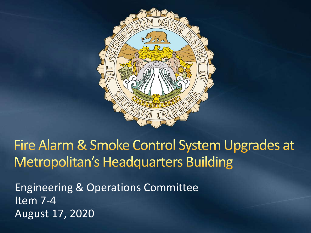

### Fire Alarm & Smoke Control System Upgrades at **Metropolitan's Headquarters Building**

Engineering & Operations Committee Item 7-4 August 17, 2020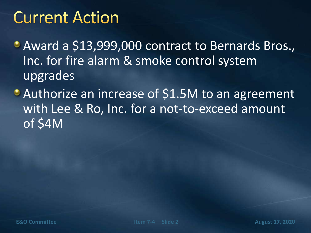### **Current Action**

Award a \$13,999,000 contract to Bernards Bros., Inc. for fire alarm & smoke control system upgrades

Authorize an increase of \$1.5M to an agreement with Lee & Ro, Inc. for a not-to-exceed amount of \$4M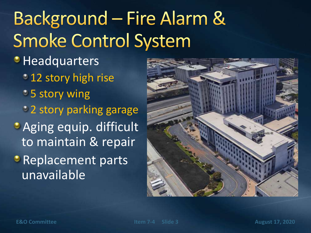# **Background - Fire Alarm & Smoke Control System**

- **Headquarters** 
	- <sup>1</sup> 12 story high rise
	- **5 story wing**
	- 2 story parking garage
- **Aging equip. difficult** to maintain & repair
- **C** Replacement parts unavailable

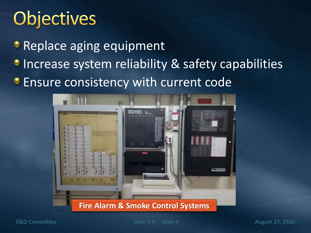## Objectives

**• Replace aging equipment** 

- **Increase system reliability & safety capabilities**
- **Ensure consistency with current code**



#### **Fire Alarm & Smoke Control Systems**

**E&O Committee** *Item 7-4* **Slide 4 <b>August 17, 2020**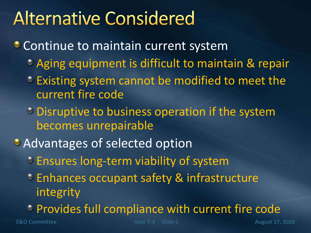### **Alternative Considered**

- **Continue to maintain current system** 
	- Aging equipment is difficult to maintain & repair
	- **Existing system cannot be modified to meet the** current fire code
	- **Disruptive to business operation if the system** becomes unrepairable
- **Advantages of selected option** 
	- **Ensures long-term viability of system**
	- Enhances occupant safety & infrastructure integrity
	- Provides full compliance with current fire code

**E&O Committee Item 7-4 Slide 5 August 17, 2020**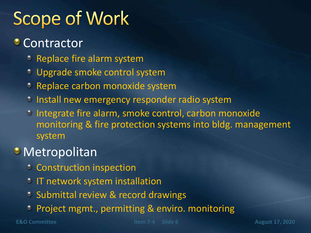# **Scope of Work**

#### **Contractor**

- **C** Replace fire alarm system
- Upgrade smoke control system
- **Replace carbon monoxide system**
- <sup>3</sup> Install new emergency responder radio system
- <sup>o</sup> Integrate fire alarm, smoke control, carbon monoxide monitoring & fire protection systems into bldg. management system

### **• Metropolitan**

- **Construction inspection**
- **IT network system installation**
- **Submittal review & record drawings**
- Project mgmt., permitting & enviro. monitoring

**E&O Committee Item 7-4 Slide 6 August 17, 2020**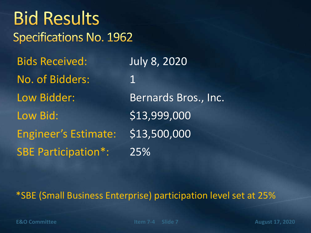| <b>Bid Results</b><br>Specifications No. 1962 |                      |
|-----------------------------------------------|----------------------|
| <b>Bids Received:</b>                         | <b>July 8, 2020</b>  |
| No. of Bidders:                               | $\mathbf 1$          |
| Low Bidder:                                   | Bernards Bros., Inc. |
| Low Bid:                                      | \$13,999,000         |
| <b>Engineer's Estimate:</b>                   | \$13,500,000         |
| <b>SBE Participation*:</b>                    | 25%                  |
|                                               |                      |

#### \*SBE (Small Business Enterprise) participation level set at 25%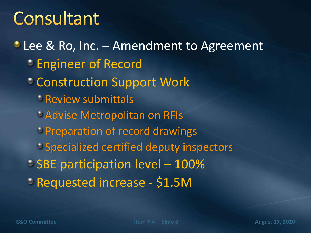### Consultant

**C** Lee & Ro, Inc. – Amendment to Agreement Engineer of Record Construction Support Work Review submittals Advise Metropolitan on RFIs Preparation of record drawings Specialized certified deputy inspectors SBE participation level - 100% Requested increase - \$1.5M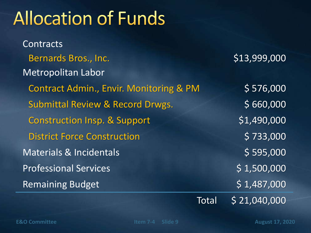### **Allocation of Funds**

**Contracts** Bernards Bros., Inc. 613,999,000 Metropolitan Labor Contract Admin., Envir. Monitoring & PM \$ 576,000 Submittal Review & Record Drwgs.  $$660,000$ Construction Insp. & Support  $$1,490,000$ District Force Construction **\$ 733,000** Materials & Incidentals **Materials** 6 595,000 Professional Services **\$ 1,500,000** Remaining Budget 5 1,487,000

Total \$ 21,040,000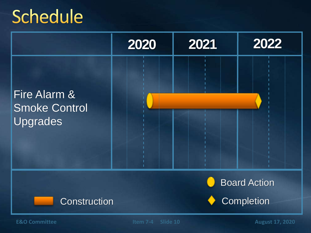### Schedule

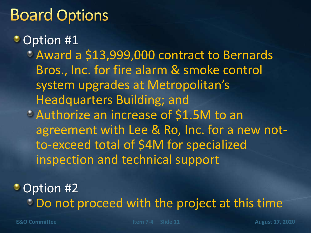### **Board Options**

• Option #1

Award a \$13,999,000 contract to Bernards Bros., Inc. for fire alarm & smoke control system upgrades at Metropolitan's Headquarters Building; and

Authorize an increase of \$1.5M to an agreement with Lee & Ro, Inc. for a new notto-exceed total of \$4M for specialized inspection and technical support

• Option #2 Do not proceed with the project at this time

**E&O Committee Item 7-4 Slide 11 August 17, 2020**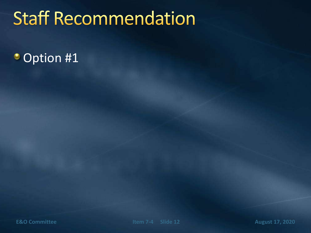## **Staff Recommendation**

### • Option #1